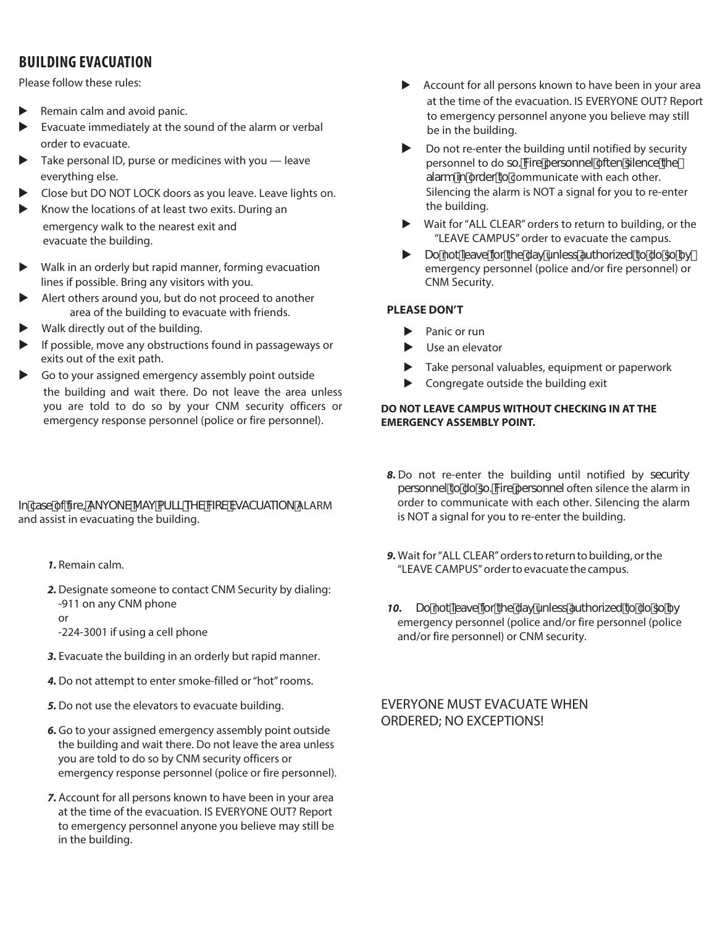# **BuIlDING EVACuATION**

Please follow these rules:

- Remain calm and avoid panic.
- Evacuate immediately at the sound of the alarm or verbal order to evacuate.
- Take personal ID, purse or medicines with you leave everything else.
- Close but DO NOT LOCK doors as you leave. Leave lights on.
- $\blacktriangleright$  Know the locations of at least two exits. During an emergency walk to the nearest exit and evacuate the building.
- Walk in an orderly but rapid manner, forming evacuation lines if possible. Bring any visitors with you.
- Alert others around you, but do not proceed to another area of the building to evacuate with friends.
- Walk directly out of the building.
- $\blacktriangleright$  If possible, move any obstructions found in passageways or exits out of the exit path.
- Go to your assigned emergency assembly point outside the building and wait there. Do not leave the area unless you are told to do so by your CNM security officers or emergency response personnel (police or fire personnel).

In case of fire, ANYONE MAY PULL THE FIRE EVACUATION ALARM and assist in evacuating the building.

- **1.** Remain calm.
- **2.** Designate someone to contact CNM Security by dialing: -911 on any CNM phone
	- or
	- -224-3001 if using a cell phone
- **3.** Evacuate the building in an orderly but rapid manner.
- **4.** Do not attempt to enter smoke-filled or "hot" rooms.
- **5.** Do not use the elevators to evacuate building.
- **6.** Go to your assigned emergency assembly point outside the building and wait there. Do not leave the area unless you are told to do so by CNM security officers or emergency response personnel (police or fire personnel).
- **7.** Account for all persons known to have been in your area at the time of the evacuation. IS EVERYONE OUT? Report to emergency personnel anyone you believe may still be in the building.
- $\blacktriangleright$  Account for all persons known to have been in your area at the time of the evacuation. IS EVERYONE OUT? Report to emergency personnel anyone you believe may still be in the building.
- $\triangleright$  Do not re-enter the building until notified by security personnel to do so. Fire personnel often silence the alarm in order to communicate with each other. Silencing the alarm is NOT a signal for you to re-enter the building.
- Mait for "ALL CLEAR" orders to return to building, or the "LEAVE CAMPUS" order to evacuate the campus.
- $\triangleright$  Do not leave for the day unless authorized to do so by emergency personnel (police and/or fire personnel) or CNM Security.

### **PLEASE DON'T**

- $\blacktriangleright$  Panic or run
- $\blacktriangleright$  Use an elevator
- $\blacktriangleright$  Take personal valuables, equipment or paperwork
- $\blacktriangleright$  Congregate outside the building exit

#### **DO NOT LEAVE CAMPUS WITHOUT CHECKING IN AT THE EMERGENCY ASSEMBLY POINT.**

- **8.** Do not re-enter the building until notified by security personnel to do so. Fire personnel often silence the alarm in order to communicate with each other. Silencing the alarm is NOT a signal for you to re-enter the building.
- **9.** Wait for "ALL CLEAR" orders to return to building, or the "LEAVE CAMPUS" order to evacuate the campus.
- **10.** Do not leave for the day unless authorized to do so by emergency personnel (police and/or fire personnel (police and/or fire personnel) or CNM security.

### EVERYONE MUST EVACUATE WHEN ORDERED; NO EXCEPTIONS!